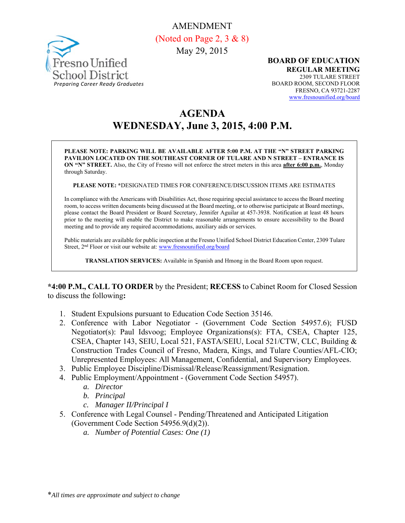AMENDMENT



(Noted on Page 2, 3 & 8) May 29, 2015

> **BOARD OF EDUCATION REGULAR MEETING**  2309 TULARE STREET BOARD ROOM, SECOND FLOOR FRESNO, CA 93721-2287 www.fresnounified.org/board

# **AGENDA WEDNESDAY, June 3, 2015, 4:00 P.M.**

**PLEASE NOTE: PARKING WILL BE AVAILABLE AFTER 5:00 P.M. AT THE "N" STREET PARKING PAVILION LOCATED ON THE SOUTHEAST CORNER OF TULARE AND N STREET – ENTRANCE IS ON "N" STREET.** Also, the City of Fresno will not enforce the street meters in this area **after 6:00 p.m.**, Monday through Saturday.

**PLEASE NOTE: \***DESIGNATED TIMES FOR CONFERENCE/DISCUSSION ITEMS ARE ESTIMATES

In compliance with the Americans with Disabilities Act, those requiring special assistance to access the Board meeting room, to access written documents being discussed at the Board meeting, or to otherwise participate at Board meetings, please contact the Board President or Board Secretary, Jennifer Aguilar at 457-3938. Notification at least 48 hours prior to the meeting will enable the District to make reasonable arrangements to ensure accessibility to the Board meeting and to provide any required accommodations, auxiliary aids or services.

Public materials are available for public inspection at the Fresno Unified School District Education Center, 2309 Tulare Street, 2<sup>nd</sup> Floor or visit our website at: www.fresnounified.org/board

**TRANSLATION SERVICES:** Available in Spanish and Hmong in the Board Room upon request.

**\*4:00 P.M., CALL TO ORDER** by the President; **RECESS** to Cabinet Room for Closed Session to discuss the following**:** 

- 1. Student Expulsions pursuant to Education Code Section 35146.
- 2. Conference with Labor Negotiator (Government Code Section 54957.6); FUSD Negotiator(s): Paul Idsvoog; Employee Organizations(s): FTA, CSEA, Chapter 125, CSEA, Chapter 143, SEIU, Local 521, FASTA/SEIU, Local 521/CTW, CLC, Building & Construction Trades Council of Fresno, Madera, Kings, and Tulare Counties/AFL-CIO; Unrepresented Employees: All Management, Confidential, and Supervisory Employees.
- 3. Public Employee Discipline/Dismissal/Release/Reassignment/Resignation.
- 4. Public Employment/Appointment (Government Code Section 54957).
	- *a. Director*
	- *b. Principal*
	- *c. Manager II/Principal I*
- 5. Conference with Legal Counsel Pending/Threatened and Anticipated Litigation (Government Code Section 54956.9(d)(2)).
	- *a. Number of Potential Cases: One (1)*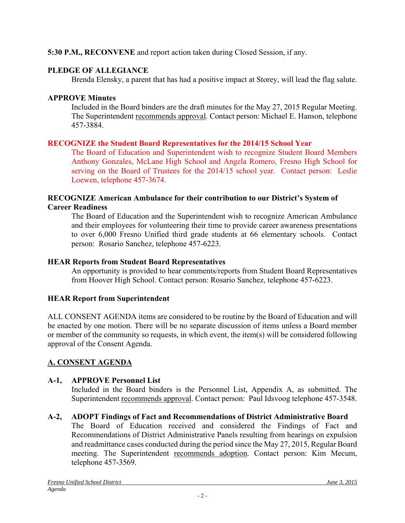## **5:30 P.M., RECONVENE** and report action taken during Closed Session, if any.

## **PLEDGE OF ALLEGIANCE**

Brenda Elensky, a parent that has had a positive impact at Storey, will lead the flag salute.

## **APPROVE Minutes**

Included in the Board binders are the draft minutes for the May 27, 2015 Regular Meeting. The Superintendent recommends approval. Contact person: Michael E. Hanson, telephone 457-3884.

# **RECOGNIZE the Student Board Representatives for the 2014/15 School Year**

The Board of Education and Superintendent wish to recognize Student Board Members Anthony Gonzales, McLane High School and Angela Romero, Fresno High School for serving on the Board of Trustees for the 2014/15 school year. Contact person: Leslie Loewen, telephone 457-3674.

#### **RECOGNIZE American Ambulance for their contribution to our District's System of Career Readiness**

The Board of Education and the Superintendent wish to recognize American Ambulance and their employees for volunteering their time to provide career awareness presentations to over 6,000 Fresno Unified third grade students at 66 elementary schools. Contact person: Rosario Sanchez, telephone 457-6223.

### **HEAR Reports from Student Board Representatives**

An opportunity is provided to hear comments/reports from Student Board Representatives from Hoover High School. Contact person: Rosario Sanchez, telephone 457-6223.

### **HEAR Report from Superintendent**

ALL CONSENT AGENDA items are considered to be routine by the Board of Education and will be enacted by one motion. There will be no separate discussion of items unless a Board member or member of the community so requests, in which event, the item(s) will be considered following approval of the Consent Agenda.

# **A. CONSENT AGENDA**

### **A-1, APPROVE Personnel List**

Included in the Board binders is the Personnel List, Appendix A, as submitted. The Superintendent recommends approval. Contact person: Paul Idsvoog telephone 457-3548.

# **A-2, ADOPT Findings of Fact and Recommendations of District Administrative Board**

The Board of Education received and considered the Findings of Fact and Recommendations of District Administrative Panels resulting from hearings on expulsion and readmittance cases conducted during the period since the May 27, 2015, Regular Board meeting. The Superintendent recommends adoption. Contact person: Kim Mecum, telephone 457-3569.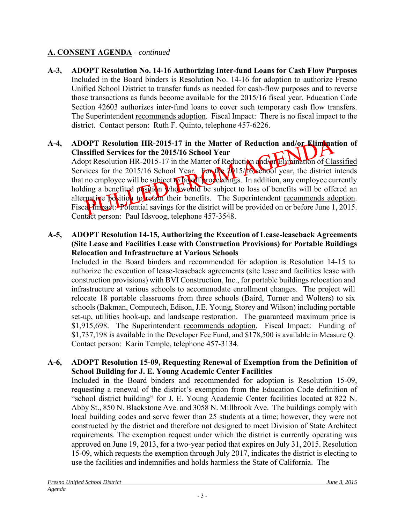- **A-3, ADOPT Resolution No. 14-16 Authorizing Inter-fund Loans for Cash Flow Purposes**  Included in the Board binders is Resolution No. 14-16 for adoption to authorize Fresno Unified School District to transfer funds as needed for cash-flow purposes and to reverse those transactions as funds become available for the 2015/16 fiscal year. Education Code Section 42603 authorizes inter-fund loans to cover such temporary cash flow transfers. The Superintendent recommends adoption. Fiscal Impact: There is no fiscal impact to the district. Contact person: Ruth F. Quinto, telephone 457-6226.
- **A-4, ADOPT Resolution HR-2015-17 in the Matter of Reduction and/or Elimination of Classified Services for the 2015/16 School Year** Adopt Resolution HR-2015-17 in the Matter of Reduction and for Elimination of Classified Services for the 2015/16 School Year. For the 2015/16 school year, the district intends that no employee will be subject to lay off proceedings. In addition, any employee currently holding a benefited position who would be subject to loss of benefits will be offered an alternative position to retain their benefits. The Superintendent recommends adoption. Fiscal Impact: Potential savings for the district will be provided on or before June 1, 2015. Contact person: Paul Idsvoog, telephone 457-3548.

### **A-5, ADOPT Resolution 14-15, Authorizing the Execution of Lease-leaseback Agreements (Site Lease and Facilities Lease with Construction Provisions) for Portable Buildings Relocation and Infrastructure at Various Schools**

Included in the Board binders and recommended for adoption is Resolution 14-15 to authorize the execution of lease-leaseback agreements (site lease and facilities lease with construction provisions) with BVI Construction, Inc., for portable buildings relocation and infrastructure at various schools to accommodate enrollment changes. The project will relocate 18 portable classrooms from three schools (Baird, Turner and Wolters) to six schools (Bakman, Computech, Edison, J.E. Young, Storey and Wilson) including portable set-up, utilities hook-up, and landscape restoration. The guaranteed maximum price is \$1,915,698. The Superintendent recommends adoption. Fiscal Impact: Funding of \$1,737,198 is available in the Developer Fee Fund, and \$178,500 is available in Measure Q. Contact person: Karin Temple, telephone 457-3134.

# **A-6, ADOPT Resolution 15-09, Requesting Renewal of Exemption from the Definition of School Building for J. E. Young Academic Center Facilities**

Included in the Board binders and recommended for adoption is Resolution 15-09, requesting a renewal of the district's exemption from the Education Code definition of "school district building" for J. E. Young Academic Center facilities located at 822 N. Abby St., 850 N. Blackstone Ave. and 3058 N. Millbrook Ave. The buildings comply with local building codes and serve fewer than 25 students at a time; however, they were not constructed by the district and therefore not designed to meet Division of State Architect requirements. The exemption request under which the district is currently operating was approved on June 19, 2013, for a two-year period that expires on July 31, 2015. Resolution 15-09, which requests the exemption through July 2017, indicates the district is electing to use the facilities and indemnifies and holds harmless the State of California. The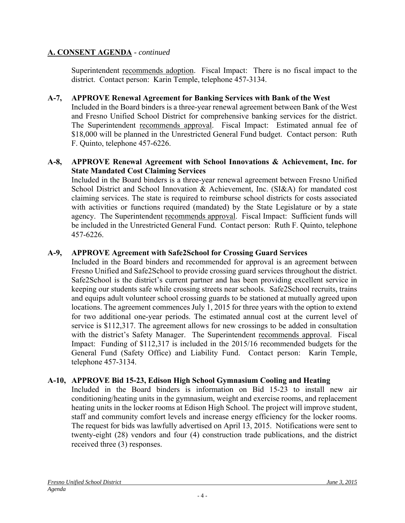Superintendent recommends adoption. Fiscal Impact: There is no fiscal impact to the district. Contact person: Karin Temple, telephone 457-3134.

### **A-7, APPROVE Renewal Agreement for Banking Services with Bank of the West**

Included in the Board binders is a three-year renewal agreement between Bank of the West and Fresno Unified School District for comprehensive banking services for the district. The Superintendent recommends approval. Fiscal Impact: Estimated annual fee of \$18,000 will be planned in the Unrestricted General Fund budget. Contact person: Ruth F. Quinto, telephone 457-6226.

#### **A-8, APPROVE Renewal Agreement with School Innovations & Achievement, Inc. for State Mandated Cost Claiming Services**

Included in the Board binders is a three-year renewal agreement between Fresno Unified School District and School Innovation & Achievement, Inc. (SI&A) for mandated cost claiming services. The state is required to reimburse school districts for costs associated with activities or functions required (mandated) by the State Legislature or by a state agency. The Superintendent recommends approval. Fiscal Impact: Sufficient funds will be included in the Unrestricted General Fund. Contact person: Ruth F. Quinto, telephone 457-6226.

# **A-9, APPROVE Agreement with Safe2School for Crossing Guard Services**

Included in the Board binders and recommended for approval is an agreement between Fresno Unified and Safe2School to provide crossing guard services throughout the district. Safe2School is the district's current partner and has been providing excellent service in keeping our students safe while crossing streets near schools. Safe2School recruits, trains and equips adult volunteer school crossing guards to be stationed at mutually agreed upon locations. The agreement commences July 1, 2015 for three years with the option to extend for two additional one-year periods. The estimated annual cost at the current level of service is \$112,317. The agreement allows for new crossings to be added in consultation with the district's Safety Manager. The Superintendent recommends approval. Fiscal Impact: Funding of \$112,317 is included in the 2015/16 recommended budgets for the General Fund (Safety Office) and Liability Fund. Contact person: Karin Temple, telephone 457-3134.

# **A-10, APPROVE Bid 15-23, Edison High School Gymnasium Cooling and Heating**

Included in the Board binders is information on Bid 15-23 to install new air conditioning/heating units in the gymnasium, weight and exercise rooms, and replacement heating units in the locker rooms at Edison High School. The project will improve student, staff and community comfort levels and increase energy efficiency for the locker rooms. The request for bids was lawfully advertised on April 13, 2015. Notifications were sent to twenty-eight (28) vendors and four (4) construction trade publications, and the district received three (3) responses.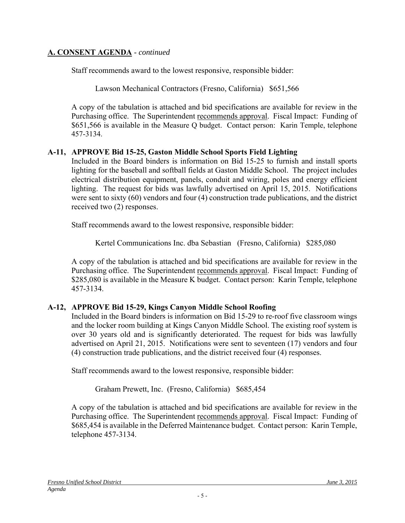Staff recommends award to the lowest responsive, responsible bidder:

Lawson Mechanical Contractors (Fresno, California) \$651,566

A copy of the tabulation is attached and bid specifications are available for review in the Purchasing office. The Superintendent recommends approval. Fiscal Impact: Funding of \$651,566 is available in the Measure Q budget. Contact person: Karin Temple, telephone 457-3134.

#### **A-11, APPROVE Bid 15-25, Gaston Middle School Sports Field Lighting**

Included in the Board binders is information on Bid 15-25 to furnish and install sports lighting for the baseball and softball fields at Gaston Middle School. The project includes electrical distribution equipment, panels, conduit and wiring, poles and energy efficient lighting. The request for bids was lawfully advertised on April 15, 2015. Notifications were sent to sixty (60) vendors and four (4) construction trade publications, and the district received two (2) responses.

Staff recommends award to the lowest responsive, responsible bidder:

Kertel Communications Inc. dba Sebastian (Fresno, California) \$285,080

A copy of the tabulation is attached and bid specifications are available for review in the Purchasing office. The Superintendent recommends approval. Fiscal Impact: Funding of \$285,080 is available in the Measure K budget. Contact person: Karin Temple, telephone 457-3134.

### **A-12, APPROVE Bid 15-29, Kings Canyon Middle School Roofing**

Included in the Board binders is information on Bid 15-29 to re-roof five classroom wings and the locker room building at Kings Canyon Middle School. The existing roof system is over 30 years old and is significantly deteriorated. The request for bids was lawfully advertised on April 21, 2015. Notifications were sent to seventeen (17) vendors and four (4) construction trade publications, and the district received four (4) responses.

Staff recommends award to the lowest responsive, responsible bidder:

Graham Prewett, Inc. (Fresno, California) \$685,454

A copy of the tabulation is attached and bid specifications are available for review in the Purchasing office. The Superintendent recommends approval. Fiscal Impact: Funding of \$685,454 is available in the Deferred Maintenance budget. Contact person: Karin Temple, telephone 457-3134.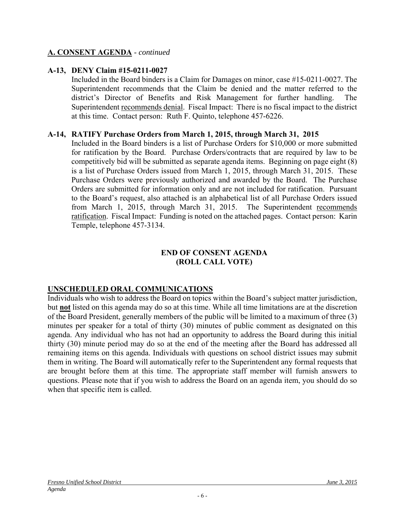#### **A-13, DENY Claim #15-0211-0027**

Included in the Board binders is a Claim for Damages on minor, case #15-0211-0027. The Superintendent recommends that the Claim be denied and the matter referred to the district's Director of Benefits and Risk Management for further handling. The Superintendent recommends denial. Fiscal Impact: There is no fiscal impact to the district at this time. Contact person: Ruth F. Quinto, telephone 457-6226.

#### **A-14, RATIFY Purchase Orders from March 1, 2015, through March 31, 2015**

Included in the Board binders is a list of Purchase Orders for \$10,000 or more submitted for ratification by the Board. Purchase Orders/contracts that are required by law to be competitively bid will be submitted as separate agenda items. Beginning on page eight (8) is a list of Purchase Orders issued from March 1, 2015, through March 31, 2015. These Purchase Orders were previously authorized and awarded by the Board. The Purchase Orders are submitted for information only and are not included for ratification. Pursuant to the Board's request, also attached is an alphabetical list of all Purchase Orders issued from March 1, 2015, through March 31, 2015. The Superintendent recommends ratification. Fiscal Impact: Funding is noted on the attached pages. Contact person: Karin Temple, telephone 457-3134.

#### **END OF CONSENT AGENDA (ROLL CALL VOTE)**

### **UNSCHEDULED ORAL COMMUNICATIONS**

Individuals who wish to address the Board on topics within the Board's subject matter jurisdiction, but **not** listed on this agenda may do so at this time. While all time limitations are at the discretion of the Board President, generally members of the public will be limited to a maximum of three (3) minutes per speaker for a total of thirty (30) minutes of public comment as designated on this agenda. Any individual who has not had an opportunity to address the Board during this initial thirty (30) minute period may do so at the end of the meeting after the Board has addressed all remaining items on this agenda. Individuals with questions on school district issues may submit them in writing. The Board will automatically refer to the Superintendent any formal requests that are brought before them at this time. The appropriate staff member will furnish answers to questions. Please note that if you wish to address the Board on an agenda item, you should do so when that specific item is called.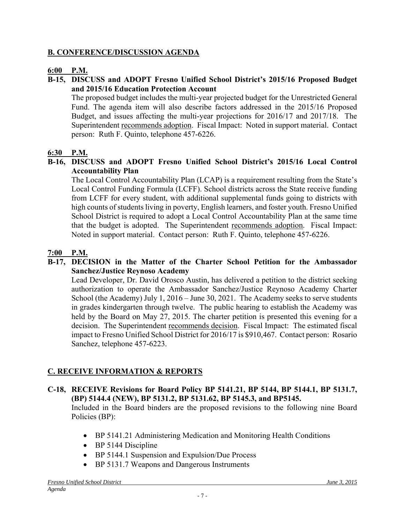#### **B. CONFERENCE/DISCUSSION AGENDA**

#### **6:00 P.M.**

#### **B-15, DISCUSS and ADOPT Fresno Unified School District's 2015/16 Proposed Budget and 2015/16 Education Protection Account**

The proposed budget includes the multi-year projected budget for the Unrestricted General Fund. The agenda item will also describe factors addressed in the 2015/16 Proposed Budget, and issues affecting the multi-year projections for 2016/17 and 2017/18. The Superintendent recommends adoption. Fiscal Impact: Noted in support material. Contact person: Ruth F. Quinto, telephone 457-6226.

#### **6:30 P.M.**

#### **B-16, DISCUSS and ADOPT Fresno Unified School District's 2015/16 Local Control Accountability Plan**

The Local Control Accountability Plan (LCAP) is a requirement resulting from the State's Local Control Funding Formula (LCFF). School districts across the State receive funding from LCFF for every student, with additional supplemental funds going to districts with high counts of students living in poverty, English learners, and foster youth. Fresno Unified School District is required to adopt a Local Control Accountability Plan at the same time that the budget is adopted. The Superintendent recommends adoption. Fiscal Impact: Noted in support material. Contact person: Ruth F. Quinto, telephone 457-6226.

#### **7:00 P.M.**

#### **B-17, DECISION in the Matter of the Charter School Petition for the Ambassador Sanchez/Justice Reynoso Academy**

Lead Developer, Dr. David Orosco Austin, has delivered a petition to the district seeking authorization to operate the Ambassador Sanchez/Justice Reynoso Academy Charter School (the Academy) July 1, 2016 – June 30, 2021. The Academy seeks to serve students in grades kindergarten through twelve. The public hearing to establish the Academy was held by the Board on May 27, 2015. The charter petition is presented this evening for a decision. The Superintendent recommends decision. Fiscal Impact: The estimated fiscal impact to Fresno Unified School District for 2016/17 is \$910,467. Contact person: Rosario Sanchez, telephone 457-6223.

#### **C. RECEIVE INFORMATION & REPORTS**

# **C-18, RECEIVE Revisions for Board Policy BP 5141.21, BP 5144, BP 5144.1, BP 5131.7, (BP) 5144.4 (NEW), BP 5131.2, BP 5131.62, BP 5145.3, and BP5145.**

Included in the Board binders are the proposed revisions to the following nine Board Policies (BP):

- BP 5141.21 Administering Medication and Monitoring Health Conditions
- BP 5144 Discipline
- BP 5144.1 Suspension and Expulsion/Due Process
- BP 5131.7 Weapons and Dangerous Instruments